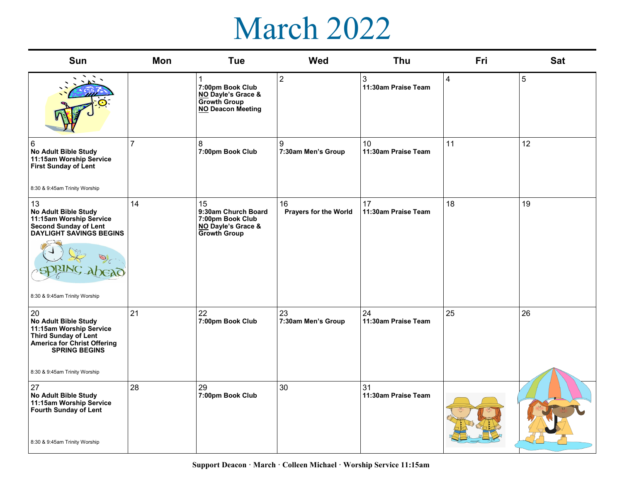## March 2022

| <b>Sun</b>                                                                                                                                                                          | Mon            | <b>Tue</b>                                                                                 | Wed                                | Thu                                    | Fri | <b>Sat</b> |
|-------------------------------------------------------------------------------------------------------------------------------------------------------------------------------------|----------------|--------------------------------------------------------------------------------------------|------------------------------------|----------------------------------------|-----|------------|
|                                                                                                                                                                                     |                | 7:00pm Book Club<br>NO Dayle's Grace &<br><b>Growth Group</b><br><b>NO Deacon Meeting</b>  | $\overline{2}$                     | 3<br>11:30am Praise Team               | 4   | 5          |
| $\,6\,$<br><b>No Adult Bible Study</b><br>11:15am Worship Service<br>First Sunday of Lent<br>8:30 & 9:45am Trinity Worship                                                          | $\overline{7}$ | 8<br>7:00pm Book Club                                                                      | 9<br>7:30am Men's Group            | 10 <sup>1</sup><br>11:30am Praise Team | 11  | 12         |
| 13<br>No Adult Bible Study<br>11:15am Worship Service<br><b>Second Sunday of Lent</b><br><b>DAYLIGHT SAVINGS BEGINS</b><br>8:30 & 9:45am Trinity Worship                            | 14             | 15<br>9:30am Church Board<br>7:00pm Book Club<br>NO Dayle's Grace &<br><b>Growth Group</b> | 16<br><b>Prayers for the World</b> | 17<br>11:30am Praise Team              | 18  | 19         |
| 20<br>No Adult Bible Study<br>11:15am Worship Service<br><b>Third Sunday of Lent</b><br><b>America for Christ Offering</b><br><b>SPRING BEGINS</b><br>8:30 & 9:45am Trinity Worship | 21             | 22<br>7:00pm Book Club                                                                     | 23<br>7:30am Men's Group           | 24<br>11:30am Praise Team              | 25  | 26         |
| 27<br>No Adult Bible Study<br>11:15am Worship Service<br><b>Fourth Sunday of Lent</b><br>8:30 & 9:45am Trinity Worship                                                              | 28             | 29<br>7:00pm Book Club                                                                     | 30                                 | 31<br>11:30am Praise Team              |     |            |